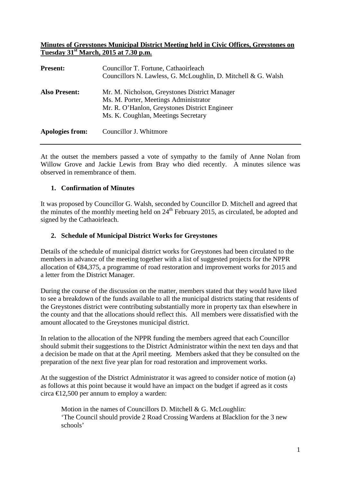## **Minutes of Greystones Municipal District Meeting held in Civic Offices, Greystones on Tuesday 31st March, 2015 at 7.30 p.m.**

| <b>Present:</b>      | Councillor T. Fortune, Cathaoirleach<br>Councillors N. Lawless, G. McLoughlin, D. Mitchell & G. Walsh                                                                          |
|----------------------|--------------------------------------------------------------------------------------------------------------------------------------------------------------------------------|
| <b>Also Present:</b> | Mr. M. Nicholson, Greystones District Manager<br>Ms. M. Porter, Meetings Administrator<br>Mr. R. O'Hanlon, Greystones District Engineer<br>Ms. K. Coughlan, Meetings Secretary |
| Apologies from:      | Councillor J. Whitmore                                                                                                                                                         |

At the outset the members passed a vote of sympathy to the family of Anne Nolan from Willow Grove and Jackie Lewis from Bray who died recently. A minutes silence was observed in remembrance of them.

# **1. Confirmation of Minutes**

It was proposed by Councillor G. Walsh, seconded by Councillor D. Mitchell and agreed that the minutes of the monthly meeting held on  $24<sup>th</sup>$  February 2015, as circulated, be adopted and signed by the Cathaoirleach.

### **2. Schedule of Municipal District Works for Greystones**

Details of the schedule of municipal district works for Greystones had been circulated to the members in advance of the meeting together with a list of suggested projects for the NPPR allocation of €84,375, a programme of road restoration and improvement works for 2015 and a letter from the District Manager.

During the course of the discussion on the matter, members stated that they would have liked to see a breakdown of the funds available to all the municipal districts stating that residents of the Greystones district were contributing substantially more in property tax than elsewhere in the county and that the allocations should reflect this. All members were dissatisfied with the amount allocated to the Greystones municipal district.

In relation to the allocation of the NPPR funding the members agreed that each Councillor should submit their suggestions to the District Administrator within the next ten days and that a decision be made on that at the April meeting. Members asked that they be consulted on the preparation of the next five year plan for road restoration and improvement works.

At the suggestion of the District Administrator it was agreed to consider notice of motion (a) as follows at this point because it would have an impact on the budget if agreed as it costs circa €12,500 per annum to employ a warden:

Motion in the names of Councillors D. Mitchell & G. McLoughlin: 'The Council should provide 2 Road Crossing Wardens at Blacklion for the 3 new schools'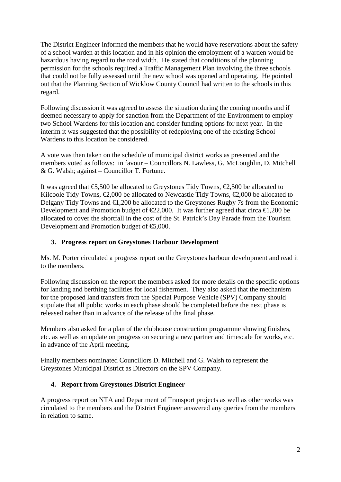The District Engineer informed the members that he would have reservations about the safety of a school warden at this location and in his opinion the employment of a warden would be hazardous having regard to the road width. He stated that conditions of the planning permission for the schools required a Traffic Management Plan involving the three schools that could not be fully assessed until the new school was opened and operating. He pointed out that the Planning Section of Wicklow County Council had written to the schools in this regard.

Following discussion it was agreed to assess the situation during the coming months and if deemed necessary to apply for sanction from the Department of the Environment to employ two School Wardens for this location and consider funding options for next year. In the interim it was suggested that the possibility of redeploying one of the existing School Wardens to this location be considered.

A vote was then taken on the schedule of municipal district works as presented and the members voted as follows: in favour – Councillors N. Lawless, G. McLoughlin, D. Mitchell & G. Walsh; against – Councillor T. Fortune.

It was agreed that  $\epsilon$ 5,500 be allocated to Greystones Tidy Towns,  $\epsilon$ 2,500 be allocated to Kilcoole Tidy Towns,  $\epsilon 2,000$  be allocated to Newcastle Tidy Towns,  $\epsilon 2,000$  be allocated to Delgany Tidy Towns and  $\bigoplus$ , 200 be allocated to the Greystones Rugby 7s from the Economic Development and Promotion budget of  $\epsilon$ 2,000. It was further agreed that circa  $\epsilon$ 1,200 be allocated to cover the shortfall in the cost of the St. Patrick's Day Parade from the Tourism Development and Promotion budget of €5,000.

## **3. Progress report on Greystones Harbour Development**

Ms. M. Porter circulated a progress report on the Greystones harbour development and read it to the members.

Following discussion on the report the members asked for more details on the specific options for landing and berthing facilities for local fishermen. They also asked that the mechanism for the proposed land transfers from the Special Purpose Vehicle (SPV) Company should stipulate that all public works in each phase should be completed before the next phase is released rather than in advance of the release of the final phase.

Members also asked for a plan of the clubhouse construction programme showing finishes, etc. as well as an update on progress on securing a new partner and timescale for works, etc. in advance of the April meeting.

Finally members nominated Councillors D. Mitchell and G. Walsh to represent the Greystones Municipal District as Directors on the SPV Company.

### **4. Report from Greystones District Engineer**

A progress report on NTA and Department of Transport projects as well as other works was circulated to the members and the District Engineer answered any queries from the members in relation to same.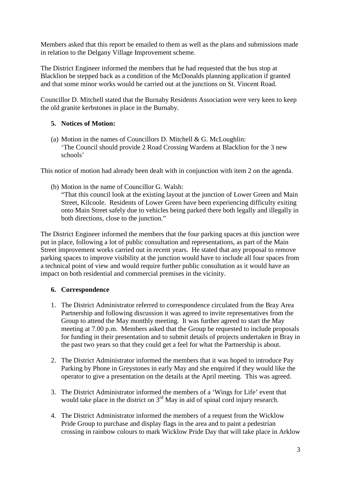Members asked that this report be emailed to them as well as the plans and submissions made in relation to the Delgany Village Improvement scheme.

The District Engineer informed the members that he had requested that the bus stop at Blacklion be stepped back as a condition of the McDonalds planning application if granted and that some minor works would be carried out at the junctions on St. Vincent Road.

Councillor D. Mitchell stated that the Burnaby Residents Association were very keen to keep the old granite kerbstones in place in the Burnaby.

## **5. Notices of Motion:**

(a) Motion in the names of Councillors D. Mitchell & G. McLoughlin: 'The Council should provide 2 Road Crossing Wardens at Blacklion for the 3 new schools'

This notice of motion had already been dealt with in conjunction with item 2 on the agenda.

(b) Motion in the name of Councillor G. Walsh:

"That this council look at the existing layout at the junction of Lower Green and Main Street, Kilcoole. Residents of Lower Green have been experiencing difficulty exiting onto Main Street safely due to vehicles being parked there both legally and illegally in both directions, close to the junction."

The District Engineer informed the members that the four parking spaces at this junction were put in place, following a lot of public consultation and representations, as part of the Main Street improvement works carried out in recent years. He stated that any proposal to remove parking spaces to improve visibility at the junction would have to include all four spaces from a technical point of view and would require further public consultation as it would have an impact on both residential and commercial premises in the vicinity.

### **6. Correspondence**

- 1. The District Administrator referred to correspondence circulated from the Bray Area Partnership and following discussion it was agreed to invite representatives from the Group to attend the May monthly meeting. It was further agreed to start the May meeting at 7.00 p.m. Members asked that the Group be requested to include proposals for funding in their presentation and to submit details of projects undertaken in Bray in the past two years so that they could get a feel for what the Partnership is about.
- 2. The District Administrator informed the members that it was hoped to introduce Pay Parking by Phone in Greystones in early May and she enquired if they would like the operator to give a presentation on the details at the April meeting. This was agreed.
- 3. The District Administrator informed the members of a 'Wings for Life' event that would take place in the district on  $3<sup>rd</sup>$  May in aid of spinal cord injury research.
- 4. The District Administrator informed the members of a request from the Wicklow Pride Group to purchase and display flags in the area and to paint a pedestrian crossing in rainbow colours to mark Wicklow Pride Day that will take place in Arklow